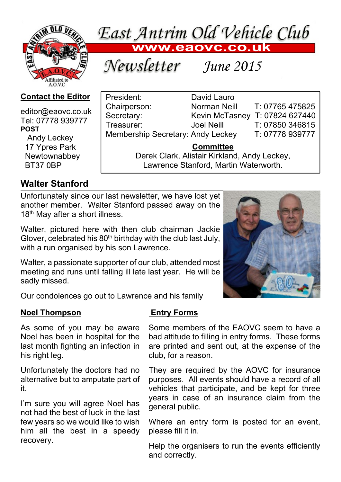

East Antrim Old Vehicle Club

Chairperson: Norman Neill T: 07765 475825 Secretary: Kevin McTasney T: 07824 627440 Treasurer: Joel Neill T: 07850 346815 Membership Secretary: Andy Leckey T: 07778 939777

> **Committee** Derek Clark, Alistair Kirkland, Andy Leckey, Lawrence Stanford, Martin Waterworth.

*June 2015*

President: David Lauro

### **Contact the Editor**

editor@eaovc.co.uk Tel: 07778 939777 **POST** Andy Leckey

 17 Ypres Park **Newtownabbey** BT37 0BP

# **Walter Stanford**

Unfortunately since our last newsletter, we have lost yet another member. Walter Stanford passed away on the 18<sup>th</sup> May after a short illness.

Walter, pictured here with then club chairman Jackie Glover, celebrated his  $80<sup>th</sup>$  birthday with the club last July, with a run organised by his son Lawrence.

Walter, a passionate supporter of our club, attended most meeting and runs until falling ill late last year. He will be sadly missed.

Our condolences go out to Lawrence and his family

### **Noel Thompson**

 **Entry Forms**

As some of you may be aware Noel has been in hospital for the last month fighting an infection in his right leg.

Unfortunately the doctors had no alternative but to amputate part of it.

I'm sure you will agree Noel has not had the best of luck in the last few years so we would like to wish him all the best in a speedy recovery.

Some members of the EAOVC seem to have a bad attitude to filling in entry forms. These forms are printed and sent out, at the expense of the club, for a reason.

They are required by the AOVC for insurance purposes. All events should have a record of all vehicles that participate, and be kept for three years in case of an insurance claim from the general public.

Where an entry form is posted for an event, please fill it in.

Help the organisers to run the events efficiently and correctly.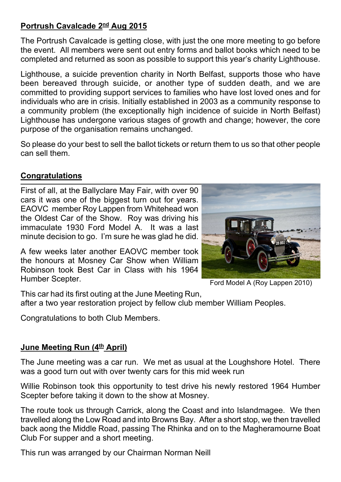## **Portrush Cavalcade 2nd Aug 2015**

The Portrush Cavalcade is getting close, with just the one more meeting to go before the event. All members were sent out entry forms and ballot books which need to be completed and returned as soon as possible to support this year's charity Lighthouse.

Lighthouse, a suicide prevention charity in North Belfast, supports those who have been bereaved through suicide, or another type of sudden death, and we are committed to providing support services to families who have lost loved ones and for individuals who are in crisis. Initially established in 2003 as a community response to a community problem (the exceptionally high incidence of suicide in North Belfast) Lighthouse has undergone various stages of growth and change; however, the core purpose of the organisation remains unchanged.

So please do your best to sell the ballot tickets or return them to us so that other people can sell them.

### **Congratulations**

First of all, at the Ballyclare May Fair, with over 90 cars it was one of the biggest turn out for years. EAOVC member Roy Lappen from Whitehead won the Oldest Car of the Show. Roy was driving his immaculate 1930 Ford Model A. It was a last minute decision to go. I'm sure he was glad he did.

A few weeks later another EAOVC member took the honours at Mosney Car Show when William Robinson took Best Car in Class with his 1964 Humber Scepter.



Ford Model A (Roy Lappen 2010)

This car had its first outing at the June Meeting Run, after a two year restoration project by fellow club member William Peoples.

Congratulations to both Club Members.

#### **June Meeting Run (4th April)**

The June meeting was a car run. We met as usual at the Loughshore Hotel. There was a good turn out with over twenty cars for this mid week run

Willie Robinson took this opportunity to test drive his newly restored 1964 Humber Scepter before taking it down to the show at Mosney.

The route took us through Carrick, along the Coast and into Islandmagee. We then travelled along the Low Road and into Browns Bay. After a short stop, we then travelled back aong the Middle Road, passing The Rhinka and on to the Magheramourne Boat Club For supper and a short meeting.

This run was arranged by our Chairman Norman Neill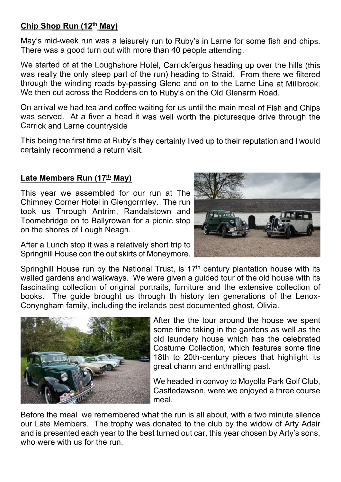## **Chip Shop Run (12th May)**

May's mid-week run was a leisurely run to Ruby's in Larne for some fish and chips. There was a good turn out with more than 40 people attending.

We started of at the Loughshore Hotel, Carrickfergus heading up over the hills (this was really the only steep part of the run) heading to Straid. From there we filtered through the winding roads by-passing Gleno and on to the Larne Line at Millbrook. We then cut across the Roddens on to Ruby's on the Old Glenarm Road.

On arrival we had tea and coffee waiting for us until the main meal of Fish and Chips was served. At a fiver a head it was well worth the picturesque drive through the Carrick and Larne countryside

This being the first time at Ruby's they certainly lived up to their reputation and I would certainly recommend a return visit.

### **Late Members Run (17th May)**

This year we assembled for our run at The Chimney Corner Hotel in Glengormley. The run took us Through Antrim, Randalstown and Toomebridge on to Ballyrowan for a picnic stop on the shores of Lough Neagh.

After a Lunch stop it was a relatively short trip to Springhill House con the out skirts of Moneymore.

Springhill House run by the National Trust, is  $17<sup>th</sup>$  century plantation house with its walled gardens and walkways. We were given a guided tour of the old house with its fascinating collection of original portraits, furniture and the extensive collection of books. The guide brought us through th history ten generations of the Lenox-Conyngham family, including the irelands best documented ghost, Olivia.



After the the tour around the house we spent some time taking in the gardens as well as the old laundery house which has the celebrated Costume Collection, which features some fine 18th to 20th-century pieces that highlight its great charm and enthralling past.

We headed in convoy to Moyolla Park Golf Club, Castledawson, were we enjoyed a three course meal.

Before the meal we remembered what the run is all about, with a two minute silence our Late Members. The trophy was donated to the club by the widow of Arty Adair and is presented each year to the best turned out car, this year chosen by Arty's sons, who were with us for the run.